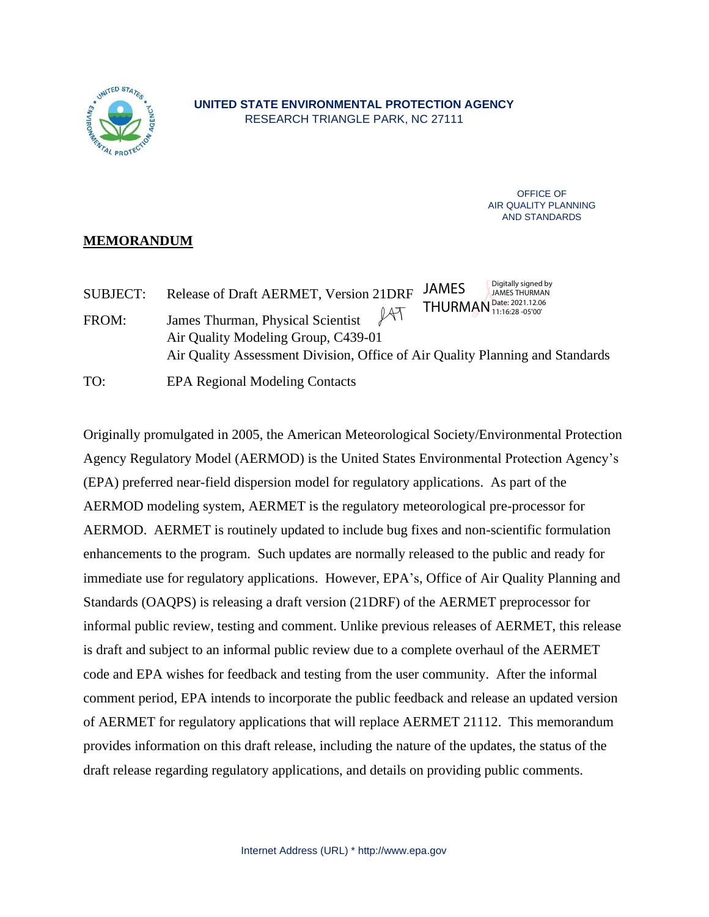

OFFICE OF AIR QUALITY PLANNING AND STANDARDS

# **MEMORANDUM**

Digitally signed by SUBJECT: Release of Draft AERMET, Version 21DRF JAMES JAMES THURMAN THURMAN<sup>Date: 2021.12.06</sup>  $141$ 11:16:28 -05'00'FROM: James Thurman, Physical Scientist Air Quality Modeling Group, C439-01 Air Quality Assessment Division, Office of Air Quality Planning and Standards

TO: EPA Regional Modeling Contacts

Originally promulgated in 2005, the American Meteorological Society/Environmental Protection Agency Regulatory Model (AERMOD) is the United States Environmental Protection Agency's (EPA) preferred near-field dispersion model for regulatory applications. As part of the AERMOD modeling system, AERMET is the regulatory meteorological pre-processor for AERMOD. AERMET is routinely updated to include bug fixes and non-scientific formulation enhancements to the program. Such updates are normally released to the public and ready for immediate use for regulatory applications. However, EPA's, Office of Air Quality Planning and Standards (OAQPS) is releasing a draft version (21DRF) of the AERMET preprocessor for informal public review, testing and comment. Unlike previous releases of AERMET, this release is draft and subject to an informal public review due to a complete overhaul of the AERMET code and EPA wishes for feedback and testing from the user community. After the informal comment period, EPA intends to incorporate the public feedback and release an updated version of AERMET for regulatory applications that will replace AERMET 21112. This memorandum provides information on this draft release, including the nature of the updates, the status of the draft release regarding regulatory applications, and details on providing public comments.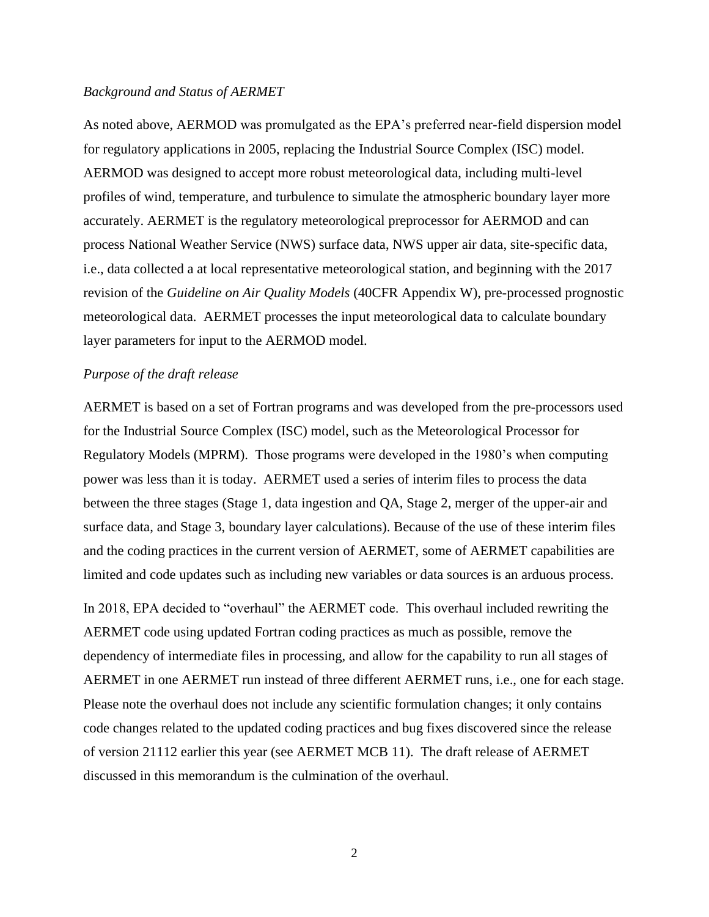#### *Background and Status of AERMET*

As noted above, AERMOD was promulgated as the EPA's preferred near-field dispersion model for regulatory applications in 2005, replacing the Industrial Source Complex (ISC) model. AERMOD was designed to accept more robust meteorological data, including multi-level profiles of wind, temperature, and turbulence to simulate the atmospheric boundary layer more accurately. AERMET is the regulatory meteorological preprocessor for AERMOD and can process National Weather Service (NWS) surface data, NWS upper air data, site-specific data, i.e., data collected a at local representative meteorological station, and beginning with the 2017 revision of the *Guideline on Air Quality Models* (40CFR Appendix W), pre-processed prognostic meteorological data. AERMET processes the input meteorological data to calculate boundary layer parameters for input to the AERMOD model.

### *Purpose of the draft release*

AERMET is based on a set of Fortran programs and was developed from the pre-processors used for the Industrial Source Complex (ISC) model, such as the Meteorological Processor for Regulatory Models (MPRM). Those programs were developed in the 1980's when computing power was less than it is today. AERMET used a series of interim files to process the data between the three stages (Stage 1, data ingestion and QA, Stage 2, merger of the upper-air and surface data, and Stage 3, boundary layer calculations). Because of the use of these interim files and the coding practices in the current version of AERMET, some of AERMET capabilities are limited and code updates such as including new variables or data sources is an arduous process.

In 2018, EPA decided to "overhaul" the AERMET code. This overhaul included rewriting the AERMET code using updated Fortran coding practices as much as possible, remove the dependency of intermediate files in processing, and allow for the capability to run all stages of AERMET in one AERMET run instead of three different AERMET runs, i.e., one for each stage. Please note the overhaul does not include any scientific formulation changes; it only contains code changes related to the updated coding practices and bug fixes discovered since the release of version 21112 earlier this year (see AERMET MCB 11). The draft release of AERMET discussed in this memorandum is the culmination of the overhaul.

2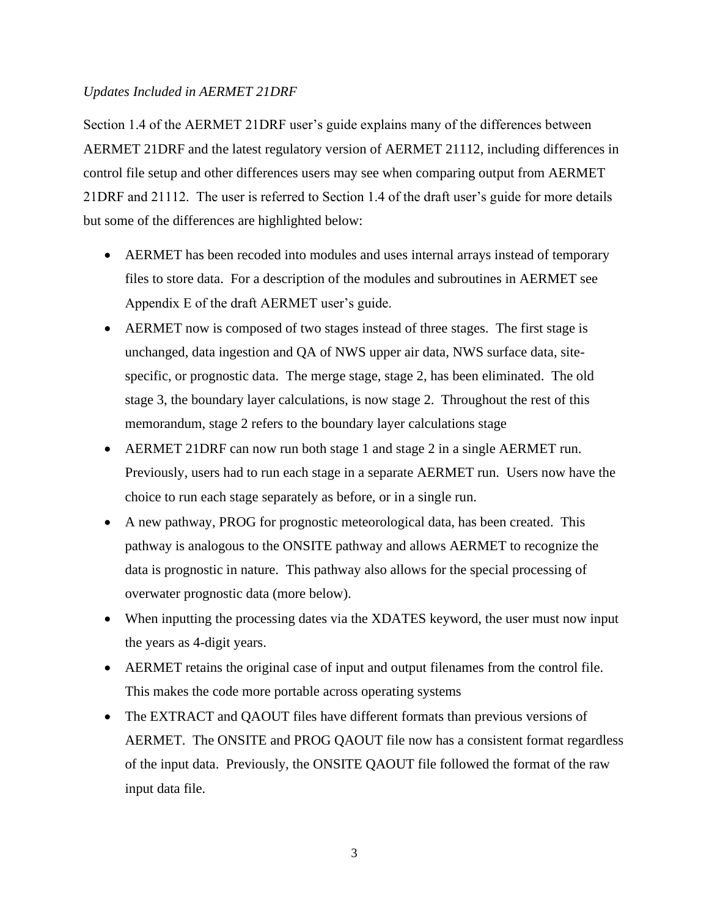## *Updates Included in AERMET 21DRF*

Section 1.4 of the AERMET 21DRF user's guide explains many of the differences between AERMET 21DRF and the latest regulatory version of AERMET 21112, including differences in control file setup and other differences users may see when comparing output from AERMET 21DRF and 21112. The user is referred to Section 1.4 of the draft user's guide for more details but some of the differences are highlighted below:

- AERMET has been recoded into modules and uses internal arrays instead of temporary files to store data. For a description of the modules and subroutines in AERMET see Appendix E of the draft AERMET user's guide.
- AERMET now is composed of two stages instead of three stages. The first stage is unchanged, data ingestion and QA of NWS upper air data, NWS surface data, sitespecific, or prognostic data. The merge stage, stage 2, has been eliminated. The old stage 3, the boundary layer calculations, is now stage 2. Throughout the rest of this memorandum, stage 2 refers to the boundary layer calculations stage
- AERMET 21DRF can now run both stage 1 and stage 2 in a single AERMET run. Previously, users had to run each stage in a separate AERMET run. Users now have the choice to run each stage separately as before, or in a single run.
- A new pathway, PROG for prognostic meteorological data, has been created. This pathway is analogous to the ONSITE pathway and allows AERMET to recognize the data is prognostic in nature. This pathway also allows for the special processing of overwater prognostic data (more below).
- When inputting the processing dates via the XDATES keyword, the user must now input the years as 4-digit years.
- AERMET retains the original case of input and output filenames from the control file. This makes the code more portable across operating systems
- The EXTRACT and QAOUT files have different formats than previous versions of AERMET. The ONSITE and PROG QAOUT file now has a consistent format regardless of the input data. Previously, the ONSITE QAOUT file followed the format of the raw input data file.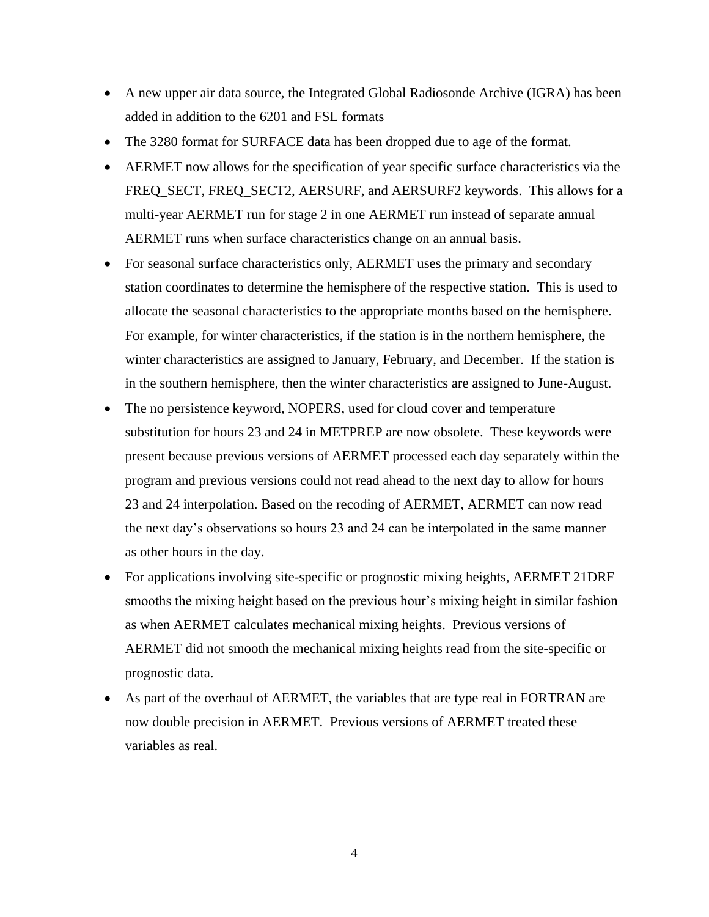- A new upper air data source, the Integrated Global Radiosonde Archive (IGRA) has been added in addition to the 6201 and FSL formats
- The 3280 format for SURFACE data has been dropped due to age of the format.
- AERMET now allows for the specification of year specific surface characteristics via the FREQ\_SECT, FREQ\_SECT2, AERSURF, and AERSURF2 keywords. This allows for a multi-year AERMET run for stage 2 in one AERMET run instead of separate annual AERMET runs when surface characteristics change on an annual basis.
- For seasonal surface characteristics only, AERMET uses the primary and secondary station coordinates to determine the hemisphere of the respective station. This is used to allocate the seasonal characteristics to the appropriate months based on the hemisphere. For example, for winter characteristics, if the station is in the northern hemisphere, the winter characteristics are assigned to January, February, and December. If the station is in the southern hemisphere, then the winter characteristics are assigned to June-August.
- The no persistence keyword, NOPERS, used for cloud cover and temperature substitution for hours 23 and 24 in METPREP are now obsolete. These keywords were present because previous versions of AERMET processed each day separately within the program and previous versions could not read ahead to the next day to allow for hours 23 and 24 interpolation. Based on the recoding of AERMET, AERMET can now read the next day's observations so hours 23 and 24 can be interpolated in the same manner as other hours in the day.
- For applications involving site-specific or prognostic mixing heights, AERMET 21DRF smooths the mixing height based on the previous hour's mixing height in similar fashion as when AERMET calculates mechanical mixing heights. Previous versions of AERMET did not smooth the mechanical mixing heights read from the site-specific or prognostic data.
- As part of the overhaul of AERMET, the variables that are type real in FORTRAN are now double precision in AERMET. Previous versions of AERMET treated these variables as real.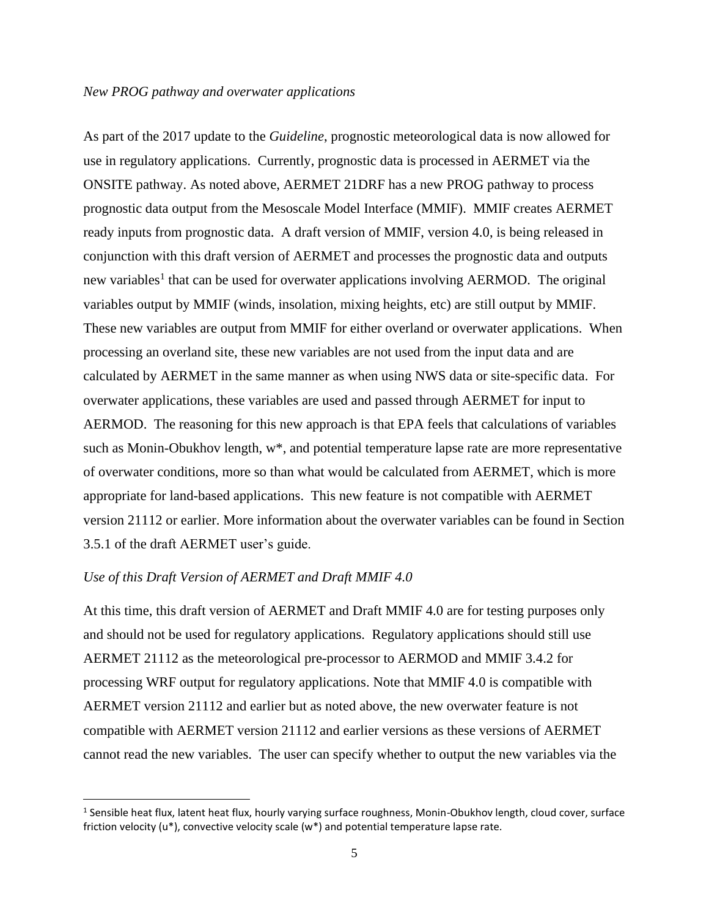As part of the 2017 update to the *Guideline*, prognostic meteorological data is now allowed for use in regulatory applications. Currently, prognostic data is processed in AERMET via the ONSITE pathway. As noted above, AERMET 21DRF has a new PROG pathway to process prognostic data output from the Mesoscale Model Interface (MMIF). MMIF creates AERMET ready inputs from prognostic data. A draft version of MMIF, version 4.0, is being released in conjunction with this draft version of AERMET and processes the prognostic data and outputs new variables<sup>1</sup> that can be used for overwater applications involving AERMOD. The original variables output by MMIF (winds, insolation, mixing heights, etc) are still output by MMIF. These new variables are output from MMIF for either overland or overwater applications. When processing an overland site, these new variables are not used from the input data and are calculated by AERMET in the same manner as when using NWS data or site-specific data. For overwater applications, these variables are used and passed through AERMET for input to AERMOD. The reasoning for this new approach is that EPA feels that calculations of variables such as Monin-Obukhov length,  $w^*$ , and potential temperature lapse rate are more representative of overwater conditions, more so than what would be calculated from AERMET, which is more appropriate for land-based applications. This new feature is not compatible with AERMET version 21112 or earlier. More information about the overwater variables can be found in Section 3.5.1 of the draft AERMET user's guide.

### *Use of this Draft Version of AERMET and Draft MMIF 4.0*

At this time, this draft version of AERMET and Draft MMIF 4.0 are for testing purposes only and should not be used for regulatory applications. Regulatory applications should still use AERMET 21112 as the meteorological pre-processor to AERMOD and MMIF 3.4.2 for processing WRF output for regulatory applications. Note that MMIF 4.0 is compatible with AERMET version 21112 and earlier but as noted above, the new overwater feature is not compatible with AERMET version 21112 and earlier versions as these versions of AERMET cannot read the new variables. The user can specify whether to output the new variables via the

<sup>&</sup>lt;sup>1</sup> Sensible heat flux, latent heat flux, hourly varying surface roughness, Monin-Obukhov length, cloud cover, surface friction velocity (u\*), convective velocity scale (w\*) and potential temperature lapse rate.